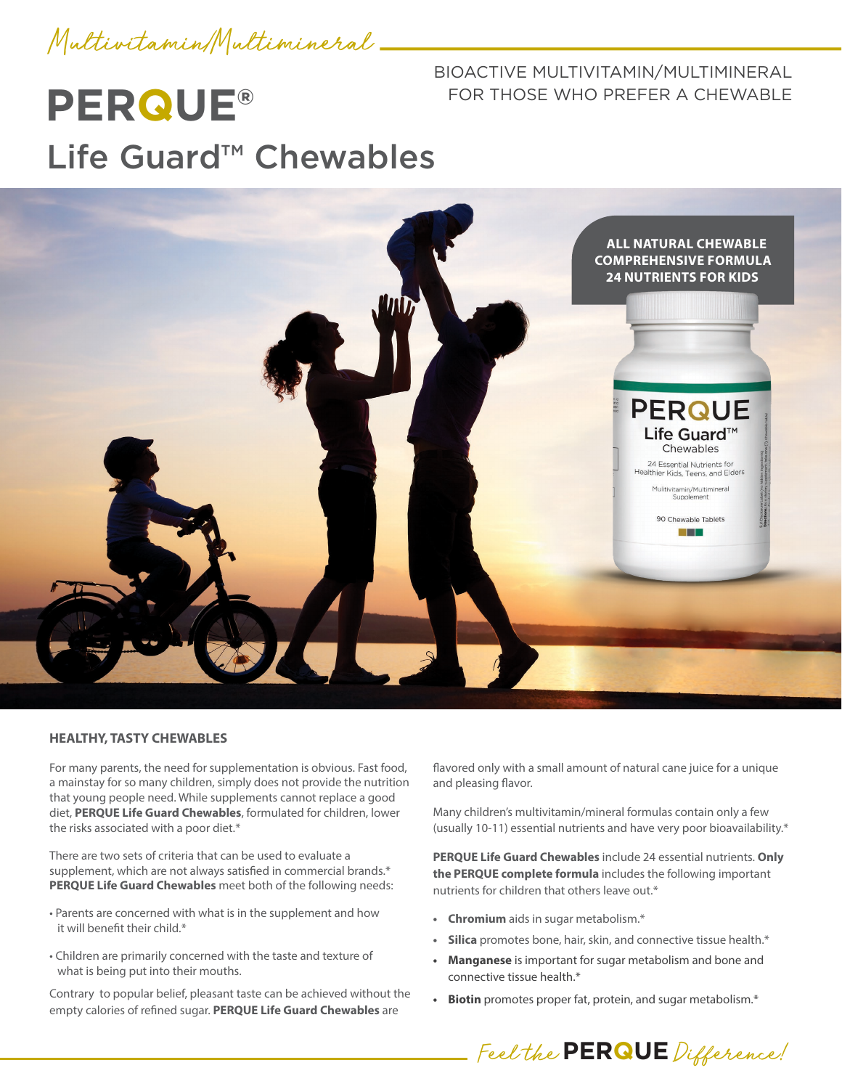

#### BIOACTIVE MULTIVITAMIN/MULTIMINERAL FOR THOSE WHO PREFER A CHEWABLE

# **PERQUE®** Life Guard™ Chewables



#### **HEALTHY, TASTY CHEWABLES**

For many parents, the need for supplementation is obvious. Fast food, a mainstay for so many children, simply does not provide the nutrition that young people need. While supplements cannot replace a good diet, **PERQUE Life Guard Chewables**, formulated for children, lower the risks associated with a poor diet.\*

There are two sets of criteria that can be used to evaluate a supplement, which are not always satisfied in commercial brands.\* **PERQUE Life Guard Chewables** meet both of the following needs:

- Parents are concerned with what is in the supplement and how it will benefit their child \*
- Children are primarily concerned with the taste and texture of what is being put into their mouths.

Contrary to popular belief, pleasant taste can be achieved without the empty calories of refined sugar. **PERQUE Life Guard Chewables** are

flavored only with a small amount of natural cane juice for a unique and pleasing flavor.

Many children's multivitamin/mineral formulas contain only a few (usually 10-11) essential nutrients and have very poor bioavailability.\*

**PERQUE Life Guard Chewables** include 24 essential nutrients. **Only the PERQUE complete formula** includes the following important nutrients for children that others leave out.\*

- **• Chromium** aids in sugar metabolism.\*
- **• Silica** promotes bone, hair, skin, and connective tissue health.\*
- **• Manganese** is important for sugar metabolism and bone and connective tissue health.\*
- **• Biotin** promotes proper fat, protein, and sugar metabolism.\*